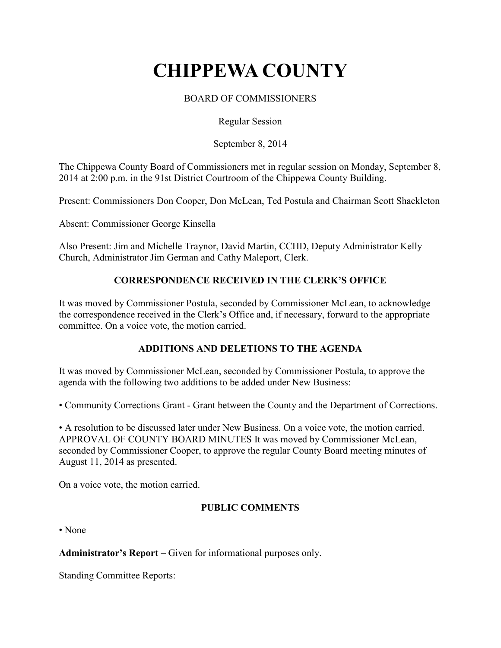# **CHIPPEWA COUNTY**

# BOARD OF COMMISSIONERS

Regular Session

September 8, 2014

The Chippewa County Board of Commissioners met in regular session on Monday, September 8, 2014 at 2:00 p.m. in the 91st District Courtroom of the Chippewa County Building.

Present: Commissioners Don Cooper, Don McLean, Ted Postula and Chairman Scott Shackleton

Absent: Commissioner George Kinsella

Also Present: Jim and Michelle Traynor, David Martin, CCHD, Deputy Administrator Kelly Church, Administrator Jim German and Cathy Maleport, Clerk.

## **CORRESPONDENCE RECEIVED IN THE CLERK'S OFFICE**

It was moved by Commissioner Postula, seconded by Commissioner McLean, to acknowledge the correspondence received in the Clerk's Office and, if necessary, forward to the appropriate committee. On a voice vote, the motion carried.

## **ADDITIONS AND DELETIONS TO THE AGENDA**

It was moved by Commissioner McLean, seconded by Commissioner Postula, to approve the agenda with the following two additions to be added under New Business:

• Community Corrections Grant - Grant between the County and the Department of Corrections.

• A resolution to be discussed later under New Business. On a voice vote, the motion carried. APPROVAL OF COUNTY BOARD MINUTES It was moved by Commissioner McLean, seconded by Commissioner Cooper, to approve the regular County Board meeting minutes of August 11, 2014 as presented.

On a voice vote, the motion carried.

## **PUBLIC COMMENTS**

• None

**Administrator's Report** – Given for informational purposes only.

Standing Committee Reports: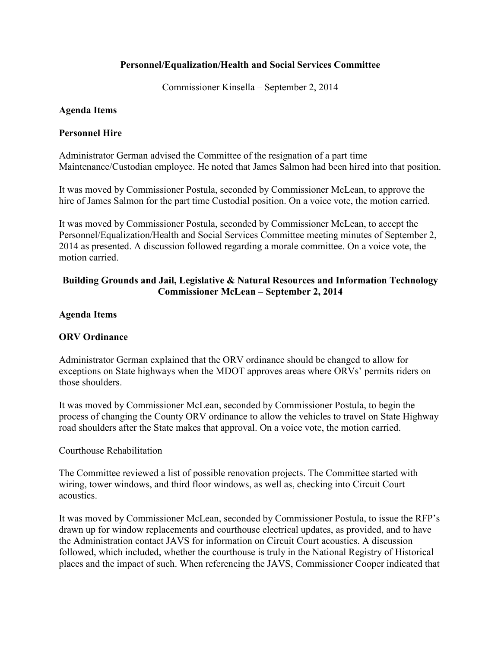## **Personnel/Equalization/Health and Social Services Committee**

Commissioner Kinsella – September 2, 2014

#### **Agenda Items**

#### **Personnel Hire**

Administrator German advised the Committee of the resignation of a part time Maintenance/Custodian employee. He noted that James Salmon had been hired into that position.

It was moved by Commissioner Postula, seconded by Commissioner McLean, to approve the hire of James Salmon for the part time Custodial position. On a voice vote, the motion carried.

It was moved by Commissioner Postula, seconded by Commissioner McLean, to accept the Personnel/Equalization/Health and Social Services Committee meeting minutes of September 2, 2014 as presented. A discussion followed regarding a morale committee. On a voice vote, the motion carried.

# **Building Grounds and Jail, Legislative & Natural Resources and Information Technology Commissioner McLean – September 2, 2014**

#### **Agenda Items**

## **ORV Ordinance**

Administrator German explained that the ORV ordinance should be changed to allow for exceptions on State highways when the MDOT approves areas where ORVs' permits riders on those shoulders.

It was moved by Commissioner McLean, seconded by Commissioner Postula, to begin the process of changing the County ORV ordinance to allow the vehicles to travel on State Highway road shoulders after the State makes that approval. On a voice vote, the motion carried.

#### Courthouse Rehabilitation

The Committee reviewed a list of possible renovation projects. The Committee started with wiring, tower windows, and third floor windows, as well as, checking into Circuit Court acoustics.

It was moved by Commissioner McLean, seconded by Commissioner Postula, to issue the RFP's drawn up for window replacements and courthouse electrical updates, as provided, and to have the Administration contact JAVS for information on Circuit Court acoustics. A discussion followed, which included, whether the courthouse is truly in the National Registry of Historical places and the impact of such. When referencing the JAVS, Commissioner Cooper indicated that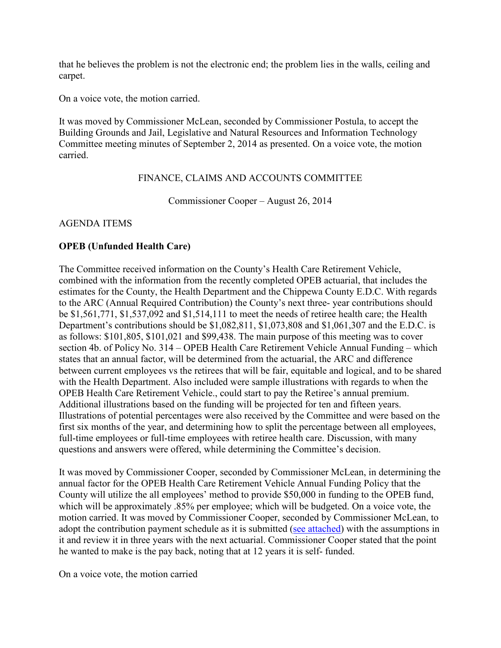that he believes the problem is not the electronic end; the problem lies in the walls, ceiling and carpet.

On a voice vote, the motion carried.

It was moved by Commissioner McLean, seconded by Commissioner Postula, to accept the Building Grounds and Jail, Legislative and Natural Resources and Information Technology Committee meeting minutes of September 2, 2014 as presented. On a voice vote, the motion carried.

FINANCE, CLAIMS AND ACCOUNTS COMMITTEE

Commissioner Cooper – August 26, 2014

AGENDA ITEMS

## **OPEB (Unfunded Health Care)**

The Committee received information on the County's Health Care Retirement Vehicle, combined with the information from the recently completed OPEB actuarial, that includes the estimates for the County, the Health Department and the Chippewa County E.D.C. With regards to the ARC (Annual Required Contribution) the County's next three- year contributions should be \$1,561,771, \$1,537,092 and \$1,514,111 to meet the needs of retiree health care; the Health Department's contributions should be \$1,082,811, \$1,073,808 and \$1,061,307 and the E.D.C. is as follows: \$101,805, \$101,021 and \$99,438. The main purpose of this meeting was to cover section 4b. of Policy No. 314 – OPEB Health Care Retirement Vehicle Annual Funding – which states that an annual factor, will be determined from the actuarial, the ARC and difference between current employees vs the retirees that will be fair, equitable and logical, and to be shared with the Health Department. Also included were sample illustrations with regards to when the OPEB Health Care Retirement Vehicle., could start to pay the Retiree's annual premium. Additional illustrations based on the funding will be projected for ten and fifteen years. Illustrations of potential percentages were also received by the Committee and were based on the first six months of the year, and determining how to split the percentage between all employees, full-time employees or full-time employees with retiree health care. Discussion, with many questions and answers were offered, while determining the Committee's decision.

It was moved by Commissioner Cooper, seconded by Commissioner McLean, in determining the annual factor for the OPEB Health Care Retirement Vehicle Annual Funding Policy that the County will utilize the all employees' method to provide \$50,000 in funding to the OPEB fund, which will be approximately .85% per employee; which will be budgeted. On a voice vote, the motion carried. It was moved by Commissioner Cooper, seconded by Commissioner McLean, to adopt the contribution payment schedule as it is submitted (see attached) with the assumptions in it and review it in three years with the next actuarial. Commissioner Cooper stated that the point he wanted to make is the pay back, noting that at 12 years it is self- funded.

On a voice vote, the motion carried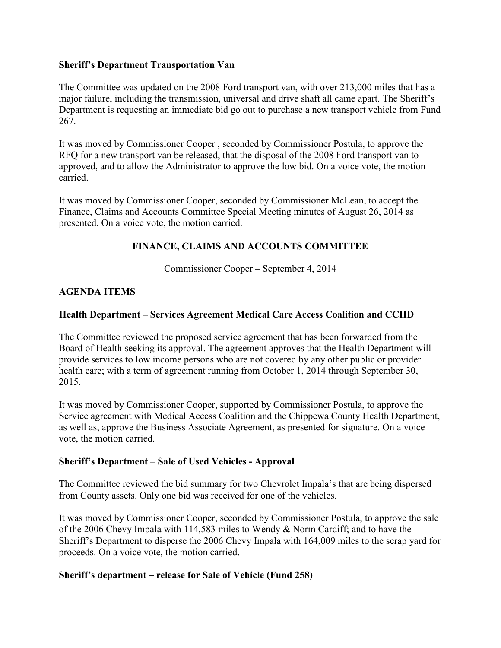#### **Sheriff's Department Transportation Van**

The Committee was updated on the 2008 Ford transport van, with over 213,000 miles that has a major failure, including the transmission, universal and drive shaft all came apart. The Sheriff's Department is requesting an immediate bid go out to purchase a new transport vehicle from Fund 267.

It was moved by Commissioner Cooper , seconded by Commissioner Postula, to approve the RFQ for a new transport van be released, that the disposal of the 2008 Ford transport van to approved, and to allow the Administrator to approve the low bid. On a voice vote, the motion carried.

It was moved by Commissioner Cooper, seconded by Commissioner McLean, to accept the Finance, Claims and Accounts Committee Special Meeting minutes of August 26, 2014 as presented. On a voice vote, the motion carried.

## **FINANCE, CLAIMS AND ACCOUNTS COMMITTEE**

Commissioner Cooper – September 4, 2014

# **AGENDA ITEMS**

## **Health Department – Services Agreement Medical Care Access Coalition and CCHD**

The Committee reviewed the proposed service agreement that has been forwarded from the Board of Health seeking its approval. The agreement approves that the Health Department will provide services to low income persons who are not covered by any other public or provider health care; with a term of agreement running from October 1, 2014 through September 30, 2015.

It was moved by Commissioner Cooper, supported by Commissioner Postula, to approve the Service agreement with Medical Access Coalition and the Chippewa County Health Department, as well as, approve the Business Associate Agreement, as presented for signature. On a voice vote, the motion carried.

## **Sheriff's Department – Sale of Used Vehicles - Approval**

The Committee reviewed the bid summary for two Chevrolet Impala's that are being dispersed from County assets. Only one bid was received for one of the vehicles.

It was moved by Commissioner Cooper, seconded by Commissioner Postula, to approve the sale of the 2006 Chevy Impala with 114,583 miles to Wendy & Norm Cardiff; and to have the Sheriff's Department to disperse the 2006 Chevy Impala with 164,009 miles to the scrap yard for proceeds. On a voice vote, the motion carried.

## **Sheriff's department – release for Sale of Vehicle (Fund 258)**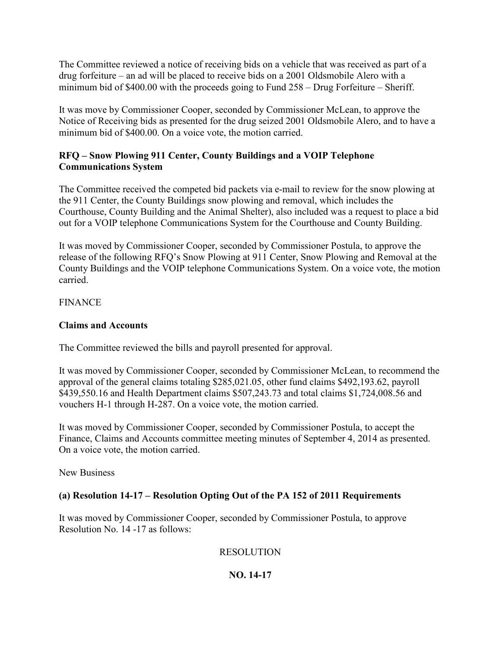The Committee reviewed a notice of receiving bids on a vehicle that was received as part of a drug forfeiture – an ad will be placed to receive bids on a 2001 Oldsmobile Alero with a minimum bid of \$400.00 with the proceeds going to Fund 258 – Drug Forfeiture – Sheriff.

It was move by Commissioner Cooper, seconded by Commissioner McLean, to approve the Notice of Receiving bids as presented for the drug seized 2001 Oldsmobile Alero, and to have a minimum bid of \$400.00. On a voice vote, the motion carried.

# **RFQ – Snow Plowing 911 Center, County Buildings and a VOIP Telephone Communications System**

The Committee received the competed bid packets via e-mail to review for the snow plowing at the 911 Center, the County Buildings snow plowing and removal, which includes the Courthouse, County Building and the Animal Shelter), also included was a request to place a bid out for a VOIP telephone Communications System for the Courthouse and County Building.

It was moved by Commissioner Cooper, seconded by Commissioner Postula, to approve the release of the following RFQ's Snow Plowing at 911 Center, Snow Plowing and Removal at the County Buildings and the VOIP telephone Communications System. On a voice vote, the motion carried.

FINANCE

## **Claims and Accounts**

The Committee reviewed the bills and payroll presented for approval.

It was moved by Commissioner Cooper, seconded by Commissioner McLean, to recommend the approval of the general claims totaling \$285,021.05, other fund claims \$492,193.62, payroll \$439,550.16 and Health Department claims \$507,243.73 and total claims \$1,724,008.56 and vouchers H-1 through H-287. On a voice vote, the motion carried.

It was moved by Commissioner Cooper, seconded by Commissioner Postula, to accept the Finance, Claims and Accounts committee meeting minutes of September 4, 2014 as presented. On a voice vote, the motion carried.

New Business

# **(a) Resolution 14-17 – Resolution Opting Out of the PA 152 of 2011 Requirements**

It was moved by Commissioner Cooper, seconded by Commissioner Postula, to approve Resolution No. 14 -17 as follows:

## RESOLUTION

# **NO. 14-17**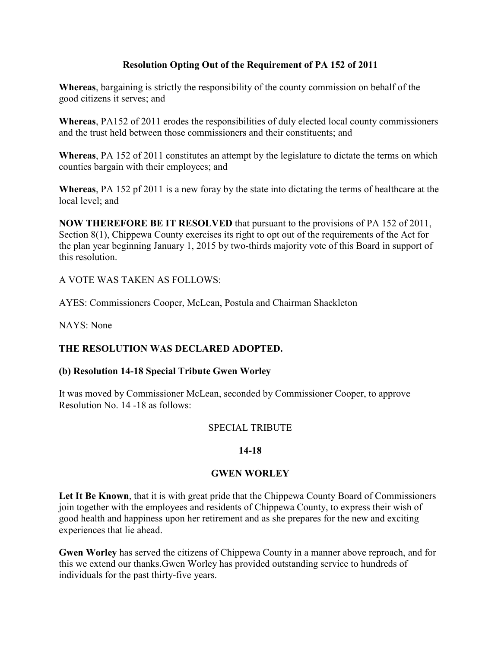## **Resolution Opting Out of the Requirement of PA 152 of 2011**

**Whereas**, bargaining is strictly the responsibility of the county commission on behalf of the good citizens it serves; and

**Whereas**, PA152 of 2011 erodes the responsibilities of duly elected local county commissioners and the trust held between those commissioners and their constituents; and

**Whereas**, PA 152 of 2011 constitutes an attempt by the legislature to dictate the terms on which counties bargain with their employees; and

**Whereas**, PA 152 pf 2011 is a new foray by the state into dictating the terms of healthcare at the local level; and

**NOW THEREFORE BE IT RESOLVED** that pursuant to the provisions of PA 152 of 2011, Section 8(1), Chippewa County exercises its right to opt out of the requirements of the Act for the plan year beginning January 1, 2015 by two-thirds majority vote of this Board in support of this resolution.

A VOTE WAS TAKEN AS FOLLOWS:

AYES: Commissioners Cooper, McLean, Postula and Chairman Shackleton

NAYS: None

## **THE RESOLUTION WAS DECLARED ADOPTED.**

## **(b) Resolution 14-18 Special Tribute Gwen Worley**

It was moved by Commissioner McLean, seconded by Commissioner Cooper, to approve Resolution No. 14 -18 as follows:

#### SPECIAL TRIBUTE

## **14-18**

## **GWEN WORLEY**

Let It Be Known, that it is with great pride that the Chippewa County Board of Commissioners join together with the employees and residents of Chippewa County, to express their wish of good health and happiness upon her retirement and as she prepares for the new and exciting experiences that lie ahead.

**Gwen Worley** has served the citizens of Chippewa County in a manner above reproach, and for this we extend our thanks.Gwen Worley has provided outstanding service to hundreds of individuals for the past thirty-five years.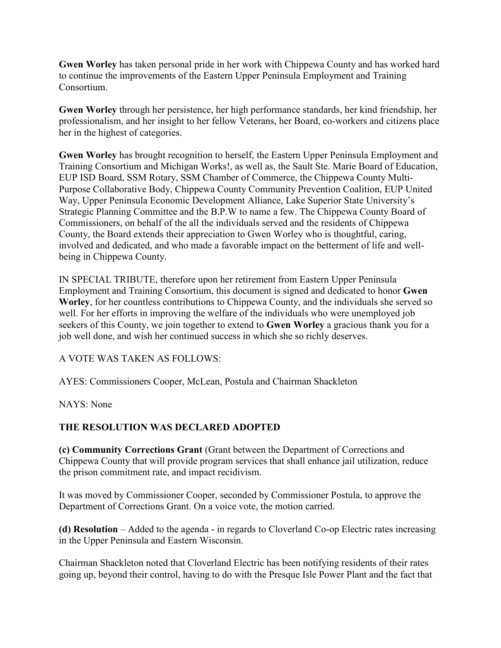**Gwen Worley** has taken personal pride in her work with Chippewa County and has worked hard to continue the improvements of the Eastern Upper Peninsula Employment and Training Consortium.

**Gwen Worley** through her persistence, her high performance standards, her kind friendship, her professionalism, and her insight to her fellow Veterans, her Board, co-workers and citizens place her in the highest of categories.

**Gwen Worley** has brought recognition to herself, the Eastern Upper Peninsula Employment and Training Consortium and Michigan Works!, as well as, the Sault Ste. Marie Board of Education, EUP ISD Board, SSM Rotary, SSM Chamber of Commerce, the Chippewa County Multi-Purpose Collaborative Body, Chippewa County Community Prevention Coalition, EUP United Way, Upper Peninsula Economic Development Alliance, Lake Superior State University's Strategic Planning Committee and the B.P.W to name a few. The Chippewa County Board of Commissioners, on behalf of the all the individuals served and the residents of Chippewa County, the Board extends their appreciation to Gwen Worley who is thoughtful, caring, involved and dedicated, and who made a favorable impact on the betterment of life and wellbeing in Chippewa County.

IN SPECIAL TRIBUTE, therefore upon her retirement from Eastern Upper Peninsula Employment and Training Consortium, this document is signed and dedicated to honor **Gwen Worley**, for her countless contributions to Chippewa County, and the individuals she served so well. For her efforts in improving the welfare of the individuals who were unemployed job seekers of this County, we join together to extend to **Gwen Worley** a gracious thank you for a job well done, and wish her continued success in which she so richly deserves.

A VOTE WAS TAKEN AS FOLLOWS:

AYES: Commissioners Cooper, McLean, Postula and Chairman Shackleton

NAYS: None

## **THE RESOLUTION WAS DECLARED ADOPTED**

**(c) Community Corrections Grant** (Grant between the Department of Corrections and Chippewa County that will provide program services that shall enhance jail utilization, reduce the prison commitment rate, and impact recidivism.

It was moved by Commissioner Cooper, seconded by Commissioner Postula, to approve the Department of Corrections Grant. On a voice vote, the motion carried.

**(d) Resolution** – Added to the agenda - in regards to Cloverland Co-op Electric rates increasing in the Upper Peninsula and Eastern Wisconsin.

Chairman Shackleton noted that Cloverland Electric has been notifying residents of their rates going up, beyond their control, having to do with the Presque Isle Power Plant and the fact that